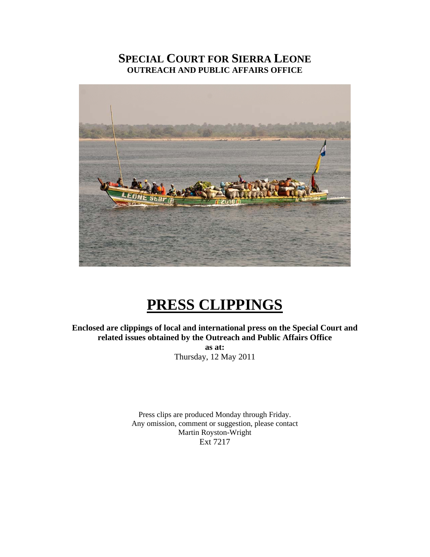# **SPECIAL COURT FOR SIERRA LEONE OUTREACH AND PUBLIC AFFAIRS OFFICE**



# **PRESS CLIPPINGS**

**Enclosed are clippings of local and international press on the Special Court and related issues obtained by the Outreach and Public Affairs Office** 

**as at:**  Thursday, 12 May 2011

Press clips are produced Monday through Friday. Any omission, comment or suggestion, please contact Martin Royston-Wright Ext 7217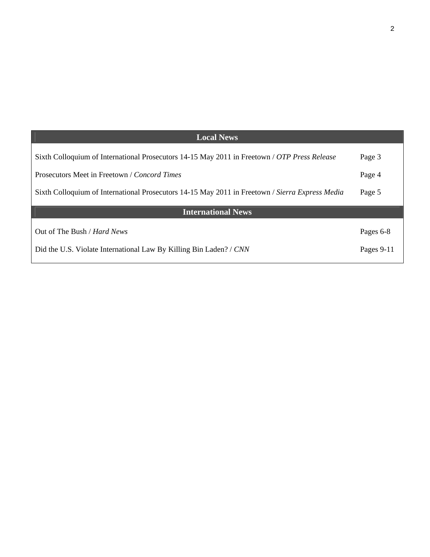| <b>Local News</b>                                                                               |            |
|-------------------------------------------------------------------------------------------------|------------|
| Sixth Colloquium of International Prosecutors 14-15 May 2011 in Freetown / OTP Press Release    | Page 3     |
| Prosecutors Meet in Freetown / Concord Times                                                    | Page 4     |
| Sixth Colloquium of International Prosecutors 14-15 May 2011 in Freetown / Sierra Express Media | Page 5     |
| <b>International News</b>                                                                       |            |
| Out of The Bush / <i>Hard News</i>                                                              | Pages 6-8  |
| Did the U.S. Violate International Law By Killing Bin Laden? / CNN                              | Pages 9-11 |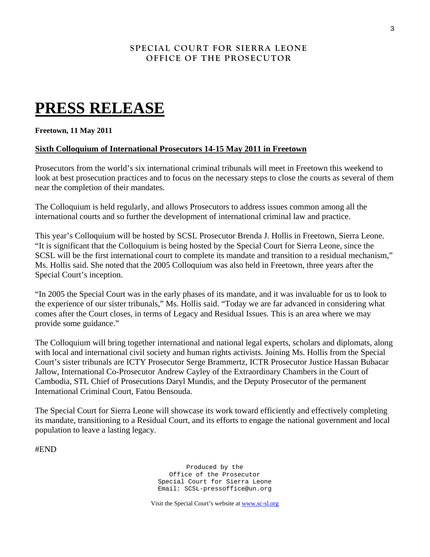## **SPECIAL COURT FOR SIERRA LEONE OFFICE OF THE PROSECUTOR**

# **PRESS RELEASE**

#### **Freetown, 11 May 2011**

### **Sixth Colloquium of International Prosecutors 14-15 May 2011 in Freetown**

Prosecutors from the world's six international criminal tribunals will meet in Freetown this weekend to look at best prosecution practices and to focus on the necessary steps to close the courts as several of them near the completion of their mandates.

The Colloquium is held regularly, and allows Prosecutors to address issues common among all the international courts and so further the development of international criminal law and practice.

This year's Colloquium will be hosted by SCSL Prosecutor Brenda J. Hollis in Freetown, Sierra Leone. "It is significant that the Colloquium is being hosted by the Special Court for Sierra Leone, since the SCSL will be the first international court to complete its mandate and transition to a residual mechanism," Ms. Hollis said. She noted that the 2005 Colloquium was also held in Freetown, three years after the Special Court's inception.

"In 2005 the Special Court was in the early phases of its mandate, and it was invaluable for us to look to the experience of our sister tribunals," Ms. Hollis said. "Today we are far advanced in considering what comes after the Court closes, in terms of Legacy and Residual Issues. This is an area where we may provide some guidance."

The Colloquium will bring together international and national legal experts, scholars and diplomats, along with local and international civil society and human rights activists. Joining Ms. Hollis from the Special Court's sister tribunals are ICTY Prosecutor Serge Brammertz, ICTR Prosecutor Justice Hassan Bubacar Jallow, International Co-Prosecutor Andrew Cayley of the Extraordinary Chambers in the Court of Cambodia, STL Chief of Prosecutions Daryl Mundis, and the Deputy Prosecutor of the permanent International Criminal Court, Fatou Bensouda.

The Special Court for Sierra Leone will showcase its work toward efficiently and effectively completing its mandate, transitioning to a Residual Court, and its efforts to engage the national government and local population to leave a lasting legacy.

#END

Produced by the Office of the Prosecutor Special Court for Sierra Leone Email: SCSL-pressoffice@un.org

Visit the Special Court's website at [www.sc-sl.org](http://www.sc-sl.org/)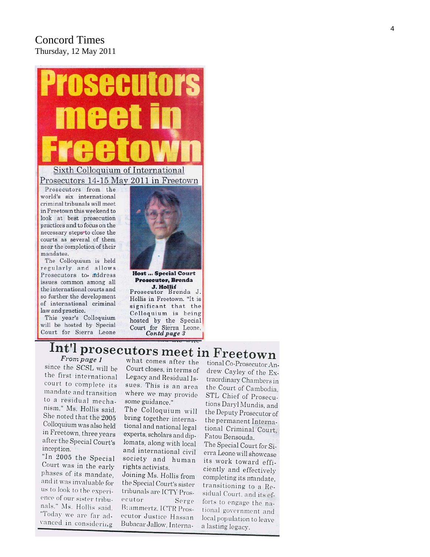## Concord Times Thursday, 12 May 2011



Prosecutors from the world's six international criminal tribunals will meet in Freetown this weekend to look at best prosecution practices and to focus on the necessary steps to close the courts as several of them near the completion of their mandates.

The Colloquium is held regularly and allows Prosecutors to address issues common among all the international courts and so further the development of international criminal law and practice.

This year's Colloquium will be hosted by Special Court for Sierra Leone



**Host ... Special Court Prosecutor, Brenda** 

J. Hollis Prosecutor Brenda J. Hollis in Freetown. "It is significant that the Colloquium is being hosted by the Special Court for Sierra Leone, Contd page 3

## Int'l prosecutors meet in Freetown From page 1

since the SCSL will be the first international court to complete its mandate and transition to a residual mechanism," Ms. Hollis said. She noted that the 2005 Colloquium was also held in Freetown, three years after the Special Court's inception.

"In 2005 the Special Court was in the early phases of its mandate, and it was invaluable for us to look to the experience of our sister tribunals." Ms. Hollis said. "Today we are far advanced in considering

what comes after the Court closes, in terms of Legacy and Residual Issues. This is an area where we may provide some guidance."

The Colloquium will bring together international and national legal experts, scholars and diplomats, along with local and international civil society and human rights activists.

Joining Ms. Hollis from the Special Court's sister tribunals are ICTY Prosecutor Serge B: ammertz. ICTR Prosecutor Justice Hassan Bubacar Jallow, Interna-

tional Co-Prosecutor Andrew Cayley of the Extraordinary Chambers in the Court of Cambodia. STL Chief of Prosecutions Daryl Mundis, and the Deputy Prosecutor of the permanent International Criminal Court, Fatou Bensouda. The Special Court for Si-

erra Leone will showcase its work toward efficiently and effectively completing its mandate, transitioning to a Residual Court, and its efforts to engage the national government and local population to leave a lasting legacy.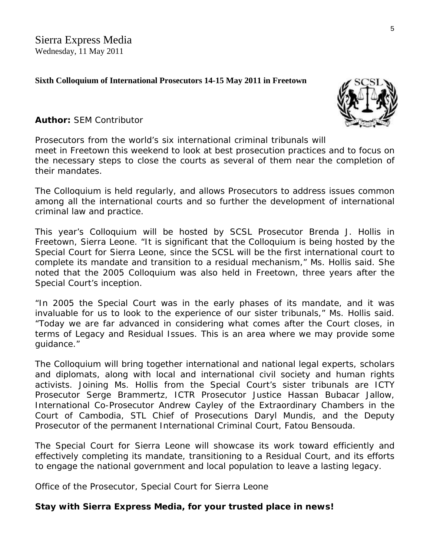## **Sixth Colloquium of International Prosecutors 14-15 May 2011 in Freetown**



## **Author:** SEM Contributor

Prosecutors from the world's six international criminal tribunals wil[l](http://www.sierraexpressmedia.com/archives/23690)  meet in Freetown this weekend to look at best prosecution practices and to focus on the necessary steps to close the courts as several of them near the completion of their mandates.

The Colloquium is held regularly, and allows Prosecutors to address issues common among all the international courts and so further the development of international criminal law and practice.

This year's Colloquium will be hosted by SCSL Prosecutor Brenda J. Hollis in Freetown, Sierra Leone. "It is significant that the Colloquium is being hosted by the Special Court for Sierra Leone, since the SCSL will be the first international court to complete its mandate and transition to a residual mechanism," Ms. Hollis said. She noted that the 2005 Colloquium was also held in Freetown, three years after the Special Court's inception.

"In 2005 the Special Court was in the early phases of its mandate, and it was invaluable for us to look to the experience of our sister tribunals," Ms. Hollis said. "Today we are far advanced in considering what comes after the Court closes, in terms of Legacy and Residual Issues. This is an area where we may provide some guidance."

The Colloquium will bring together international and national legal experts, scholars and diplomats, along with local and international civil society and human rights activists. Joining Ms. Hollis from the Special Court's sister tribunals are ICTY Prosecutor Serge Brammertz, ICTR Prosecutor Justice Hassan Bubacar Jallow, International Co-Prosecutor Andrew Cayley of the Extraordinary Chambers in the Court of Cambodia, STL Chief of Prosecutions Daryl Mundis, and the Deputy Prosecutor of the permanent International Criminal Court, Fatou Bensouda.

The Special Court for Sierra Leone will showcase its work toward efficiently and effectively completing its mandate, transitioning to a Residual Court, and its efforts to engage the national government and local population to leave a lasting legacy.

*Office of the Prosecutor, Special Court for Sierra Leone*

## *Stay with Sierra Express Media, for your trusted place in news!*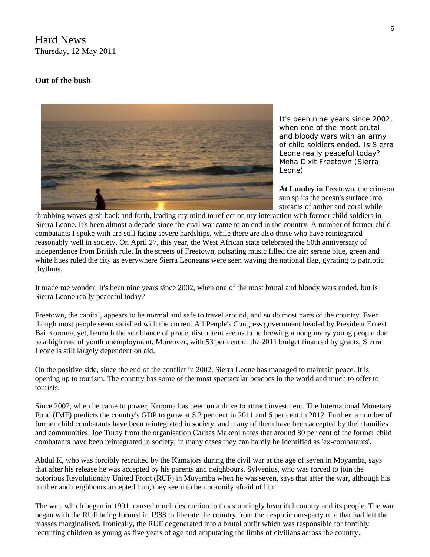Hard News Thursday, 12 May 2011

#### **Out of the bush**



*It's been nine years since 2002, when one of the most brutal and bloody wars with an army of child soldiers ended. Is Sierra Leone really peaceful today? Meha Dixit Freetown (Sierra Leone)* 

At Lumley in Freetown, the crimson sun splits the ocean's surface in to streams of amber and coral while

throbbing waves gush back and forth, leading my mind to reflect on my interaction with former child soldiers in Sierra Leone. It's been almost a decade since the civil war came to an end in the country. A number of former child combatants I spoke with are still facing severe hardships, while there are also those who have reintegrated reasonably well in society. On April 27, this year, the West African state celebrated the 50th anniversary o f independence from British rule. In the streets of Freetown, pulsating music filled the air; serene blue, green and white hues ruled the city as everywhere Sierra Leoneans were seen waving the national flag, gyrating to patriotic rhythms.

It made me wonder: It's been nine years since 2002, when one of the most brutal and bloody wars ended, but is Sierra Leone really peaceful today?

Freetown, the capital, appears to be normal and safe to travel around, and so do most parts of the country. Even though most people seem satisfied with the current All People's Congress government headed by President Ernest Bai Koroma, yet, beneath the semblance of peace, discontent seems to be brewing among many young people due to a high rate of youth unemployment. Moreover, with 53 per cent of the 2011 budget financed by grants, Sierra Leone is still largely dependent on aid.

On the positive side, since the end of the conflict in 2002, Sierra Leone has managed to maintain peace. It is opening up to tourism. The country has some of the most spectacular beaches in the world and much to offer to tourists.

Since 2007, when he came to power, Koroma has been on a drive to attract investment. The International Monetary Fund (IMF) predicts the country's GDP to grow at 5.2 per cent in 2011 and 6 per cent in 2012. Further, a number of former child combatants have been reintegrated in society, and many of them have been accepted by their families and communities. Joe Turay from the organisation Caritas Makeni notes that around 80 per cent of the former child combatants have been reintegrated in society; in many cases they can hardly be identified as 'ex-combatants'.

Abdul K, who was forcibly recruited by the Kamajors during the civil war at the age of seven in Moyamba, says that after his release he was accepted by his parents and neighbours. Sylvenius, who was forced to join the notorious Revolutionary United Front (RUF) in Moyamba when he was seven, says that after the war, although his mother and neighbours accepted him, they seem to be uncannily afraid of him.

The war, which began in 1991, caused much destruction to this stunningly beautiful country and its people. The war began with the RUF being formed in 1988 to liberate the country from the despotic one-party rule that had left the masses marginalised. Ironically, the RUF degenerated into a brutal outfit which was responsible for forcibly recruiting children as young as five years of age and amputating the limbs of civilians across the country.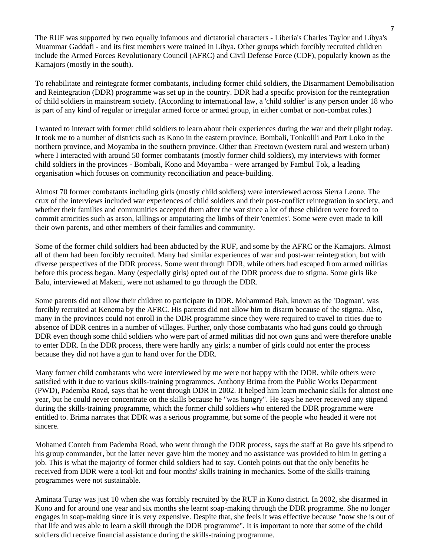The RUF was supported by two equally infamous and dictatorial characters - Liberia's Charles Taylor and Libya's Muammar Gaddafi - and its first members were trained in Libya. Other groups which forcibly recruited children include the Armed Forces Revolutionary Council (AFRC) and Civil Defense Force (CDF), popularly known as the Kamajors (mostly in the south).

To rehabilitate and reintegrate former combatants, including former child soldiers, the Disarmament Demobilisation and Reintegration (DDR) programme was set up in the country. DDR had a specific provision for the reintegration of child soldiers in mainstream society. (According to international law, a 'child soldier' is any person under 18 who is part of any kind of regular or irregular armed force or armed group, in either combat or non-combat roles.)

I wanted to interact with former child soldiers to learn about their experiences during the war and their plight today. It took me to a number of districts such as Kono in the eastern province, Bombali, Tonkolili and Port Loko in the northern province, and Moyamba in the southern province. Other than Freetown (western rural and western urban) where I interacted with around 50 former combatants (mostly former child soldiers), my interviews with former child soldiers in the provinces - Bombali, Kono and Moyamba - were arranged by Fambul Tok, a leading organisation which focuses on community reconciliation and peace-building.

Almost 70 former combatants including girls (mostly child soldiers) were interviewed across Sierra Leone. The crux of the interviews included war experiences of child soldiers and their post-conflict reintegration in society, and whether their families and communities accepted them after the war since a lot of these children were forced to commit atrocities such as arson, killings or amputating the limbs of their 'enemies'. Some were even made to kill their own parents, and other members of their families and community.

Some of the former child soldiers had been abducted by the RUF, and some by the AFRC or the Kamajors. Almost all of them had been forcibly recruited. Many had similar experiences of war and post-war reintegration, but with diverse perspectives of the DDR process. Some went through DDR, while others had escaped from armed militias before this process began. Many (especially girls) opted out of the DDR process due to stigma. Some girls like Balu, interviewed at Makeni, were not ashamed to go through the DDR.

Some parents did not allow their children to participate in DDR. Mohammad Bah, known as the 'Dogman', was forcibly recruited at Kenema by the AFRC. His parents did not allow him to disarm because of the stigma. Also, many in the provinces could not enroll in the DDR programme since they were required to travel to cities due to absence of DDR centres in a number of villages. Further, only those combatants who had guns could go through DDR even though some child soldiers who were part of armed militias did not own guns and were therefore unable to enter DDR. In the DDR process, there were hardly any girls; a number of girls could not enter the process because they did not have a gun to hand over for the DDR.

Many former child combatants who were interviewed by me were not happy with the DDR, while others were satisfied with it due to various skills-training programmes. Anthony Brima from the Public Works Department (PWD), Pademba Road, says that he went through DDR in 2002. It helped him learn mechanic skills for almost one year, but he could never concentrate on the skills because he "was hungry". He says he never received any stipend during the skills-training programme, which the former child soldiers who entered the DDR programme were entitled to. Brima narrates that DDR was a serious programme, but some of the people who headed it were not sincere.

Mohamed Conteh from Pademba Road, who went through the DDR process, says the staff at Bo gave his stipend to his group commander, but the latter never gave him the money and no assistance was provided to him in getting a job. This is what the majority of former child soldiers had to say. Conteh points out that the only benefits he received from DDR were a tool-kit and four months' skills training in mechanics. Some of the skills-training programmes were not sustainable.

Aminata Turay was just 10 when she was forcibly recruited by the RUF in Kono district. In 2002, she disarmed in Kono and for around one year and six months she learnt soap-making through the DDR programme. She no longer engages in soap-making since it is very expensive. Despite that, she feels it was effective because "now she is out of that life and was able to learn a skill through the DDR programme". It is important to note that some of the child soldiers did receive financial assistance during the skills-training programme.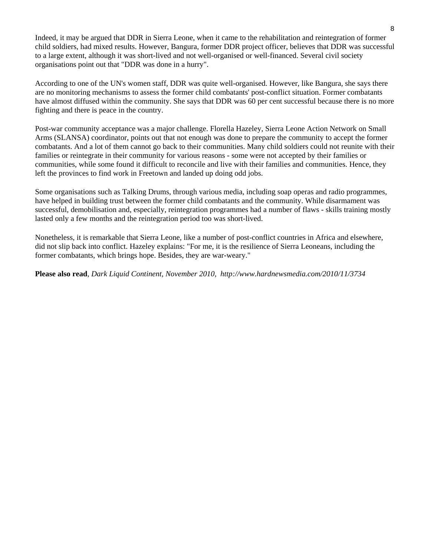Indeed, it may be argued that DDR in Sierra Leone, when it came to the rehabilitation and reintegration of former child soldiers, had mixed results. However, Bangura, former DDR project officer, believes that DDR was successful to a large extent, although it was short-lived and not well-organised or well-financed. Several civil society organisations point out that "DDR was done in a hurry".

According to one of the UN's women staff, DDR was quite well-organised. However, like Bangura, she says there are no monitoring mechanisms to assess the former child combatants' post-conflict situation. Former combatants have almost diffused within the community. She says that DDR was 60 per cent successful because there is no more fighting and there is peace in the country.

Post-war community acceptance was a major challenge. Florella Hazeley, Sierra Leone Action Network on Small Arms (SLANSA) coordinator, points out that not enough was done to prepare the community to accept the former combatants. And a lot of them cannot go back to their communities. Many child soldiers could not reunite with their families or reintegrate in their community for various reasons - some were not accepted by their families or communities, while some found it difficult to reconcile and live with their families and communities. Hence, they left the provinces to find work in Freetown and landed up doing odd jobs.

Some organisations such as Talking Drums, through various media, including soap operas and radio programmes, have helped in building trust between the former child combatants and the community. While disarmament was successful, demobilisation and, especially, reintegration programmes had a number of flaws - skills training mostly lasted only a few months and the reintegration period too was short-lived.

Nonetheless, it is remarkable that Sierra Leone, like a number of post-conflict countries in Africa and elsewhere, did not slip back into conflict. Hazeley explains: "For me, it is the resilience of Sierra Leoneans, including the former combatants, which brings hope. Besides, they are war-weary."

**Please also read**, *Dark Liquid Continent, November 2010, http://www.hardnewsmedia.com/2010/11/3734*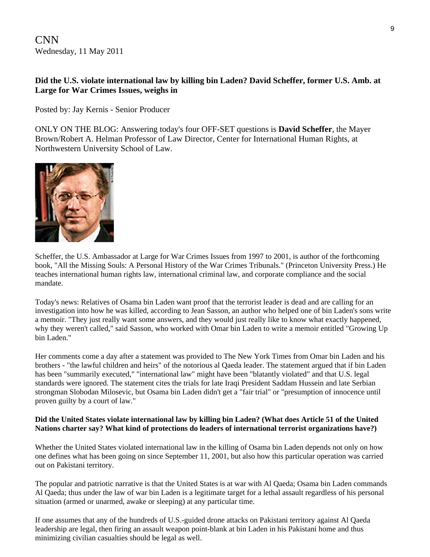CNN Wednesday, 11 May 2011

### **[Did the U.S. violate international law by killing bin Laden? David Scheffer, former U.S. Amb. at](http://inthearena.blogs.cnn.com/2011/05/11/did-the-u-s-violate-international-law-by-killing-bin-laden-david-scheffer-former-u-s-amb-at-large-for-war-crimes-issues-weighs-in/)  [Large for War Crimes Issues, weighs in](http://inthearena.blogs.cnn.com/2011/05/11/did-the-u-s-violate-international-law-by-killing-bin-laden-david-scheffer-former-u-s-amb-at-large-for-war-crimes-issues-weighs-in/)**

Posted by: [Jay Kernis - Senior Producer](http://inthearena.blogs.cnn.com/tag/jay-kernis-senior-producer/) 

ONLY ON THE BLOG: Answering today's four OFF-SET questions is **David Scheffer**, the Mayer Brown/Robert A. Helman Professor of Law Director, Center for International Human Rights, at Northwestern University School of Law.



Scheffer, the U.S. Ambassador at Large for War Crimes Issues from 1997 to 2001, is author of the forthcoming book, "All the Missing Souls: A Personal History of the War Crimes Tribunals." (Princeton University Press.) He teaches international human rights law, international criminal law, and corporate compliance and the social mandate.

Today's news: Relatives of Osama bin Laden want proof that the terrorist leader is dead and are calling for an investigation into how he was killed, according to Jean Sasson, an author who helped one of bin Laden's sons write a memoir. "They just really want some answers, and they would just really like to know what exactly happened, why they weren't called," said Sasson, who worked with Omar bin Laden to write a memoir entitled "Growing Up bin Laden."

Her comments come a day after a statement was provided to The New York Times from Omar bin Laden and his brothers - "the lawful children and heirs" of the notorious al Qaeda leader. The statement argued that if bin Laden has been "summarily executed," "international law" might have been "blatantly violated" and that U.S. legal standards were ignored. The statement cites the trials for late Iraqi President Saddam Hussein and late Serbian strongman Slobodan Milosevic, but Osama bin Laden didn't get a "fair trial" or "presumption of innocence until proven guilty by a court of law."

#### **Did the United States violate international law by killing bin Laden? (What does Article 51 of the United Nations charter say? What kind of protections do leaders of international terrorist organizations have?)**

Whether the United States violated international law in the killing of Osama bin Laden depends not only on how one defines what has been going on since September 11, 2001, but also how this particular operation was carried out on Pakistani territory.

The popular and patriotic narrative is that the United States is at war with Al Qaeda; Osama bin Laden commands Al Qaeda; thus under the law of war bin Laden is a legitimate target for a lethal assault regardless of his personal situation (armed or unarmed, awake or sleeping) at any particular time.

If one assumes that any of the hundreds of U.S.-guided drone attacks on Pakistani territory against Al Qaeda leadership are legal, then firing an assault weapon point-blank at bin Laden in his Pakistani home and thus minimizing civilian casualties should be legal as well.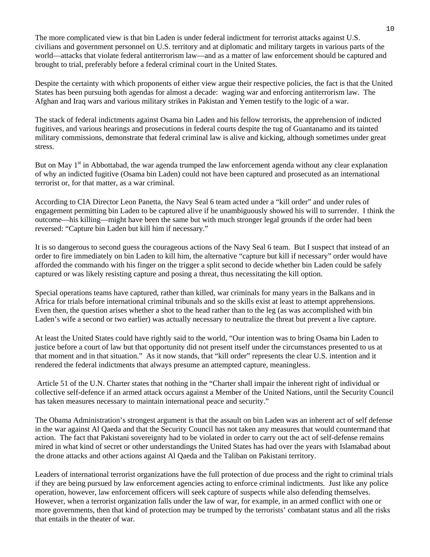The more complicated view is that bin Laden is under federal indictment for terrorist attacks against U.S. civilians and government personnel on U.S. territory and at diplomatic and military targets in various parts of the world—attacks that violate federal antiterrorism law—and as a matter of law enforcement should be captured and brought to trial, preferably before a federal criminal court in the United States.

Despite the certainty with which proponents of either view argue their respective policies, the fact is that the United States has been pursuing both agendas for almost a decade: waging war and enforcing antiterrorism law. The Afghan and Iraq wars and various military strikes in Pakistan and Yemen testify to the logic of a war.

The stack of federal indictments against Osama bin Laden and his fellow terrorists, the apprehension of indicted fugitives, and various hearings and prosecutions in federal courts despite the tug of Guantanamo and its tainted military commissions, demonstrate that federal criminal law is alive and kicking, although sometimes under great stress.

But on May 1<sup>st</sup> in Abbottabad, the war agenda trumped the law enforcement agenda without any clear explanation of why an indicted fugitive (Osama bin Laden) could not have been captured and prosecuted as an international terrorist or, for that matter, as a war criminal.

According to CIA Director Leon Panetta, the Navy Seal 6 team acted under a "kill order" and under rules of engagement permitting bin Laden to be captured alive if he unambiguously showed his will to surrender. I think the outcome—his killing—might have been the same but with much stronger legal grounds if the order had been reversed: "Capture bin Laden but kill him if necessary."

It is so dangerous to second guess the courageous actions of the Navy Seal 6 team. But I suspect that instead of an order to fire immediately on bin Laden to kill him, the alternative "capture but kill if necessary" order would have afforded the commando with his finger on the trigger a split second to decide whether bin Laden could be safely captured or was likely resisting capture and posing a threat, thus necessitating the kill option.

Special operations teams have captured, rather than killed, war criminals for many years in the Balkans and in Africa for trials before international criminal tribunals and so the skills exist at least to attempt apprehensions. Even then, the question arises whether a shot to the head rather than to the leg (as was accomplished with bin Laden's wife a second or two earlier) was actually necessary to neutralize the threat but prevent a live capture.

At least the United States could have rightly said to the world, "Our intention was to bring Osama bin Laden to justice before a court of law but that opportunity did not present itself under the circumstances presented to us at that moment and in that situation." As it now stands, that "kill order" represents the clear U.S. intention and it rendered the federal indictments that always presume an attempted capture, meaningless.

 Article 51 of the U.N. Charter states that nothing in the "Charter shall impair the inherent right of individual or collective self-defence if an armed attack occurs against a Member of the United Nations, until the Security Council has taken measures necessary to maintain international peace and security."

The Obama Administration's strongest argument is that the assault on bin Laden was an inherent act of self defense in the war against Al Qaeda and that the Security Council has not taken any measures that would countermand that action. The fact that Pakistani sovereignty had to be violated in order to carry out the act of self-defense remains mired in what kind of secret or other understandings the United States has had over the years with Islamabad about the drone attacks and other actions against Al Qaeda and the Taliban on Pakistani territory.

Leaders of international terrorist organizations have the full protection of due process and the right to criminal trials if they are being pursued by law enforcement agencies acting to enforce criminal indictments. Just like any police operation, however, law enforcement officers will seek capture of suspects while also defending themselves. However, when a terrorist organization falls under the law of war, for example, in an armed conflict with one or more governments, then that kind of protection may be trumped by the terrorists' combatant status and all the risks that entails in the theater of war.